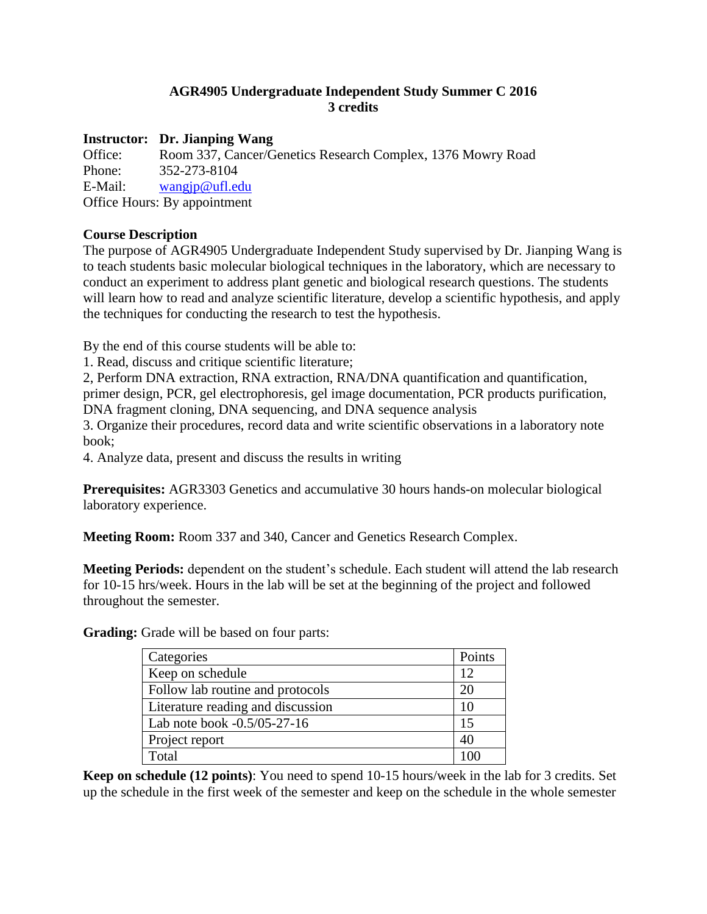# **AGR4905 Undergraduate Independent Study Summer C 2016 3 credits**

## **Instructor: Dr. Jianping Wang**

Office: Room 337, Cancer/Genetics Research Complex, 1376 Mowry Road Phone: 352-273-8104 E-Mail: [wangjp@ufl.edu](mailto:wangjp@ufl.edu) Office Hours: By appointment

## **Course Description**

The purpose of AGR4905 Undergraduate Independent Study supervised by Dr. Jianping Wang is to teach students basic molecular biological techniques in the laboratory, which are necessary to conduct an experiment to address plant genetic and biological research questions. The students will learn how to read and analyze scientific literature, develop a scientific hypothesis, and apply the techniques for conducting the research to test the hypothesis.

By the end of this course students will be able to:

1. Read, discuss and critique scientific literature;

2, Perform DNA extraction, RNA extraction, RNA/DNA quantification and quantification, primer design, PCR, gel electrophoresis, gel image documentation, PCR products purification, DNA fragment cloning, DNA sequencing, and DNA sequence analysis

3. Organize their procedures, record data and write scientific observations in a laboratory note book;

4. Analyze data, present and discuss the results in writing

**Prerequisites:** AGR3303 Genetics and accumulative 30 hours hands-on molecular biological laboratory experience.

**Meeting Room:** Room 337 and 340, Cancer and Genetics Research Complex.

**Meeting Periods:** dependent on the student's schedule. Each student will attend the lab research for 10-15 hrs/week. Hours in the lab will be set at the beginning of the project and followed throughout the semester.

**Grading:** Grade will be based on four parts:

| Categories                        | Points |
|-----------------------------------|--------|
| Keep on schedule                  | 12     |
| Follow lab routine and protocols  | 20     |
| Literature reading and discussion | 10     |
| Lab note book -0.5/05-27-16       | 15     |
| Project report                    | 40     |
| Total                             |        |

**Keep on schedule (12 points)**: You need to spend 10-15 hours/week in the lab for 3 credits. Set up the schedule in the first week of the semester and keep on the schedule in the whole semester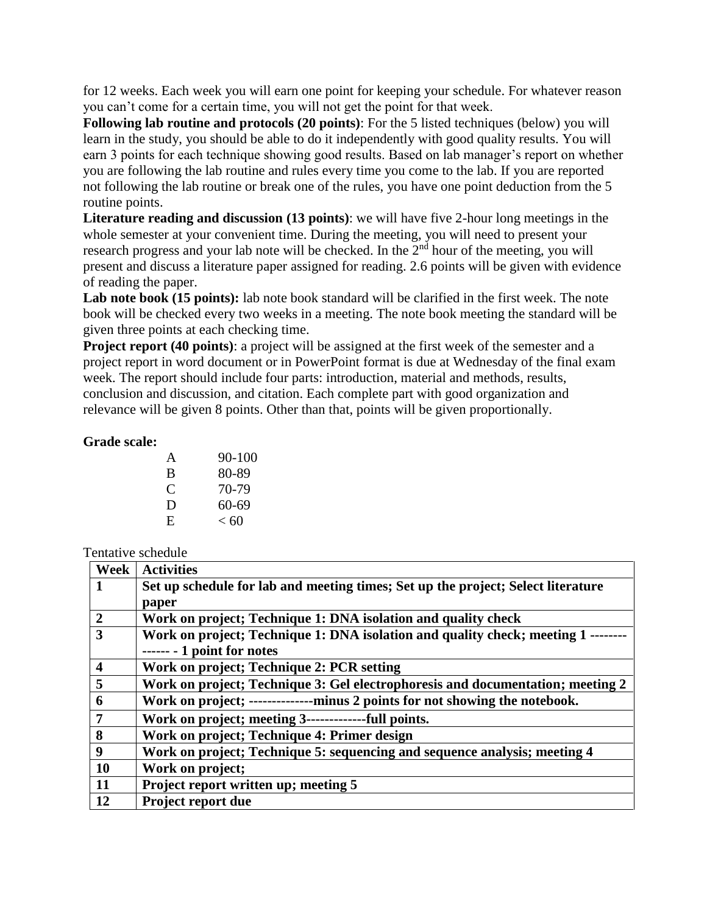for 12 weeks. Each week you will earn one point for keeping your schedule. For whatever reason you can't come for a certain time, you will not get the point for that week.

**Following lab routine and protocols (20 points)**: For the 5 listed techniques (below) you will learn in the study, you should be able to do it independently with good quality results. You will earn 3 points for each technique showing good results. Based on lab manager's report on whether you are following the lab routine and rules every time you come to the lab. If you are reported not following the lab routine or break one of the rules, you have one point deduction from the 5 routine points.

**Literature reading and discussion (13 points)**: we will have five 2-hour long meetings in the whole semester at your convenient time. During the meeting, you will need to present your research progress and your lab note will be checked. In the 2<sup>nd</sup> hour of the meeting, you will present and discuss a literature paper assigned for reading. 2.6 points will be given with evidence of reading the paper.

Lab note book (15 points): lab note book standard will be clarified in the first week. The note book will be checked every two weeks in a meeting. The note book meeting the standard will be given three points at each checking time.

**Project report (40 points)**: a project will be assigned at the first week of the semester and a project report in word document or in PowerPoint format is due at Wednesday of the final exam week. The report should include four parts: introduction, material and methods, results, conclusion and discussion, and citation. Each complete part with good organization and relevance will be given 8 points. Other than that, points will be given proportionally.

#### **Grade scale:**

| $90 - 100$ |
|------------|
| 80-89      |
| 70-79      |
| 60-69      |
| < 60       |
|            |

## Tentative schedule

| Week             | <b>Activities</b>                                                                |
|------------------|----------------------------------------------------------------------------------|
|                  | Set up schedule for lab and meeting times; Set up the project; Select literature |
|                  | paper                                                                            |
| $\overline{2}$   | Work on project; Technique 1: DNA isolation and quality check                    |
| 3                | Work on project; Technique 1: DNA isolation and quality check; meeting 1         |
|                  | $\cdots$ - 1 point for notes                                                     |
| $\boldsymbol{4}$ | Work on project; Technique 2: PCR setting                                        |
| 5                | Work on project; Technique 3: Gel electrophoresis and documentation; meeting 2   |
| 6                | Work on project; ---------------minus 2 points for not showing the notebook.     |
| $\overline{7}$   | Work on project; meeting 3-------------full points.                              |
| 8                | Work on project; Technique 4: Primer design                                      |
| 9                | Work on project; Technique 5: sequencing and sequence analysis; meeting 4        |
| <b>10</b>        | Work on project;                                                                 |
| 11               | Project report written up; meeting 5                                             |
| 12               | Project report due                                                               |